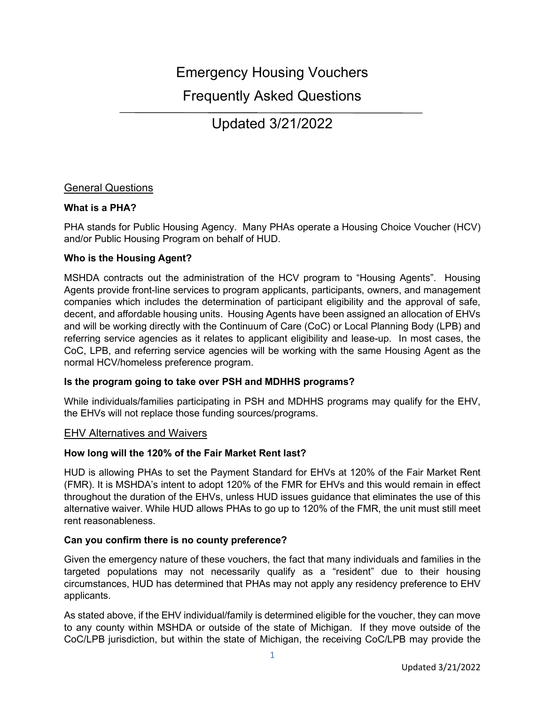# Emergency Housing Vouchers

# Frequently Asked Questions

Updated 3/21/2022

# General Questions

## **What is a PHA?**

PHA stands for Public Housing Agency. Many PHAs operate a Housing Choice Voucher (HCV) and/or Public Housing Program on behalf of HUD.

## **Who is the Housing Agent?**

MSHDA contracts out the administration of the HCV program to "Housing Agents". Housing Agents provide front-line services to program applicants, participants, owners, and management companies which includes the determination of participant eligibility and the approval of safe, decent, and affordable housing units. Housing Agents have been assigned an allocation of EHVs and will be working directly with the Continuum of Care (CoC) or Local Planning Body (LPB) and referring service agencies as it relates to applicant eligibility and lease-up. In most cases, the CoC, LPB, and referring service agencies will be working with the same Housing Agent as the normal HCV/homeless preference program.

## **Is the program going to take over PSH and MDHHS programs?**

While individuals/families participating in PSH and MDHHS programs may qualify for the EHV, the EHVs will not replace those funding sources/programs.

## EHV Alternatives and Waivers

## **How long will the 120% of the Fair Market Rent last?**

HUD is allowing PHAs to set the Payment Standard for EHVs at 120% of the Fair Market Rent (FMR). It is MSHDA's intent to adopt 120% of the FMR for EHVs and this would remain in effect throughout the duration of the EHVs, unless HUD issues guidance that eliminates the use of this alternative waiver. While HUD allows PHAs to go up to 120% of the FMR, the unit must still meet rent reasonableness.

## **Can you confirm there is no county preference?**

Given the emergency nature of these vouchers, the fact that many individuals and families in the targeted populations may not necessarily qualify as a "resident" due to their housing circumstances, HUD has determined that PHAs may not apply any residency preference to EHV applicants.

As stated above, if the EHV individual/family is determined eligible for the voucher, they can move to any county within MSHDA or outside of the state of Michigan. If they move outside of the CoC/LPB jurisdiction, but within the state of Michigan, the receiving CoC/LPB may provide the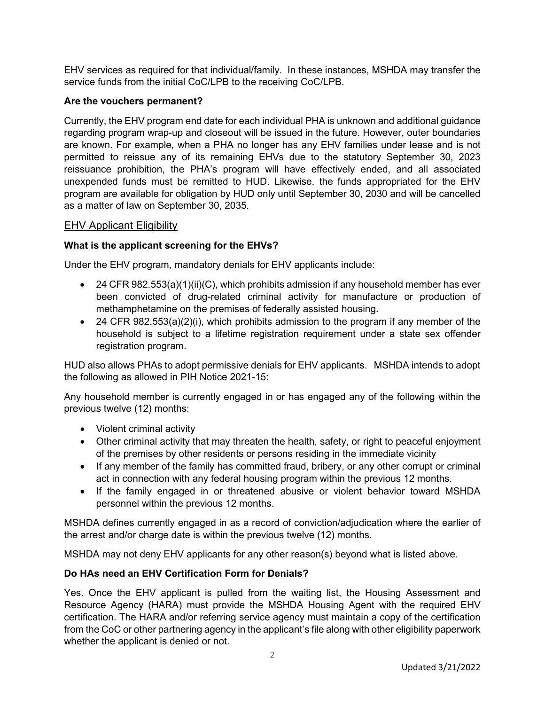EHV services as required for that individual/family. In these instances, MSHDA may transfer the service funds from the initial CoC/LPB to the receiving CoC/LPB.

## **Are the vouchers permanent?**

Currently, the EHV program end date for each individual PHA is unknown and additional guidance regarding program wrap-up and closeout will be issued in the future. However, outer boundaries are known. For example, when a PHA no longer has any EHV families under lease and is not permitted to reissue any of its remaining EHVs due to the statutory September 30, 2023 reissuance prohibition, the PHA's program will have effectively ended, and all associated unexpended funds must be remitted to HUD. Likewise, the funds appropriated for the EHV program are available for obligation by HUD only until September 30, 2030 and will be cancelled as a matter of law on September 30, 2035.

# EHV Applicant Eligibility

# **What is the applicant screening for the EHVs?**

Under the EHV program, mandatory denials for EHV applicants include:

- 24 CFR 982.553(a)(1)(ii)(C), which prohibits admission if any household member has ever been convicted of drug-related criminal activity for manufacture or production of methamphetamine on the premises of federally assisted housing.
- 24 CFR 982.553(a)(2)(i), which prohibits admission to the program if any member of the household is subject to a lifetime registration requirement under a state sex offender registration program.

HUD also allows PHAs to adopt permissive denials for EHV applicants. MSHDA intends to adopt the following as allowed in PIH Notice 2021-15:

Any household member is currently engaged in or has engaged any of the following within the previous twelve (12) months:

- Violent criminal activity
- Other criminal activity that may threaten the health, safety, or right to peaceful enjoyment of the premises by other residents or persons residing in the immediate vicinity
- If any member of the family has committed fraud, bribery, or any other corrupt or criminal act in connection with any federal housing program within the previous 12 months.
- If the family engaged in or threatened abusive or violent behavior toward MSHDA personnel within the previous 12 months.

MSHDA defines currently engaged in as a record of conviction/adjudication where the earlier of the arrest and/or charge date is within the previous twelve (12) months.

MSHDA may not deny EHV applicants for any other reason(s) beyond what is listed above.

## **Do HAs need an EHV Certification Form for Denials?**

Yes. Once the EHV applicant is pulled from the waiting list, the Housing Assessment and Resource Agency (HARA) must provide the MSHDA Housing Agent with the required EHV certification. The HARA and/or referring service agency must maintain a copy of the certification from the CoC or other partnering agency in the applicant's file along with other eligibility paperwork whether the applicant is denied or not.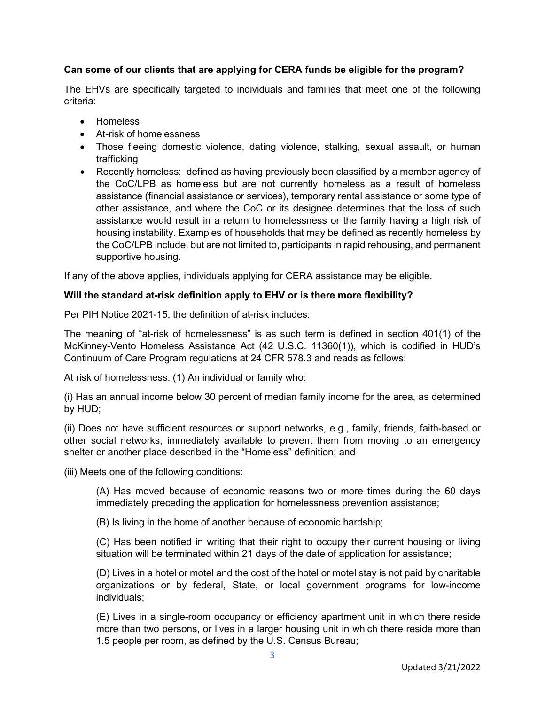# **Can some of our clients that are applying for CERA funds be eligible for the program?**

The EHVs are specifically targeted to individuals and families that meet one of the following criteria:

- Homeless
- At-risk of homelessness
- Those fleeing domestic violence, dating violence, stalking, sexual assault, or human trafficking
- Recently homeless: defined as having previously been classified by a member agency of the CoC/LPB as homeless but are not currently homeless as a result of homeless assistance (financial assistance or services), temporary rental assistance or some type of other assistance, and where the CoC or its designee determines that the loss of such assistance would result in a return to homelessness or the family having a high risk of housing instability. Examples of households that may be defined as recently homeless by the CoC/LPB include, but are not limited to, participants in rapid rehousing, and permanent supportive housing.

If any of the above applies, individuals applying for CERA assistance may be eligible.

## **Will the standard at-risk definition apply to EHV or is there more flexibility?**

Per PIH Notice 2021-15, the definition of at-risk includes:

The meaning of "at-risk of homelessness" is as such term is defined in section 401(1) of the McKinney-Vento Homeless Assistance Act (42 U.S.C. 11360(1)), which is codified in HUD's Continuum of Care Program regulations at 24 CFR 578.3 and reads as follows:

At risk of homelessness. (1) An individual or family who:

(i) Has an annual income below 30 percent of median family income for the area, as determined by HUD;

(ii) Does not have sufficient resources or support networks, e.g., family, friends, faith-based or other social networks, immediately available to prevent them from moving to an emergency shelter or another place described in the "Homeless" definition; and

(iii) Meets one of the following conditions:

(A) Has moved because of economic reasons two or more times during the 60 days immediately preceding the application for homelessness prevention assistance;

(B) Is living in the home of another because of economic hardship;

(C) Has been notified in writing that their right to occupy their current housing or living situation will be terminated within 21 days of the date of application for assistance;

(D) Lives in a hotel or motel and the cost of the hotel or motel stay is not paid by charitable organizations or by federal, State, or local government programs for low-income individuals;

(E) Lives in a single-room occupancy or efficiency apartment unit in which there reside more than two persons, or lives in a larger housing unit in which there reside more than 1.5 people per room, as defined by the U.S. Census Bureau;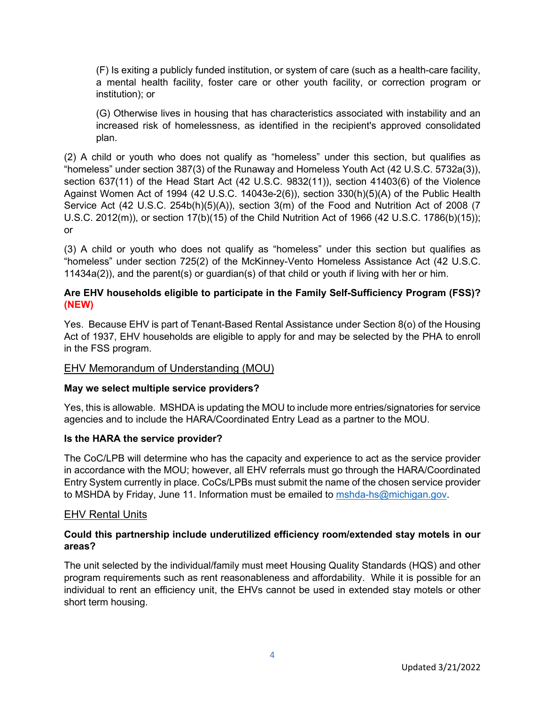(F) Is exiting a publicly funded institution, or system of care (such as a health-care facility, a mental health facility, foster care or other youth facility, or correction program or institution); or

(G) Otherwise lives in housing that has characteristics associated with instability and an increased risk of homelessness, as identified in the recipient's approved consolidated plan.

(2) A child or youth who does not qualify as "homeless" under this section, but qualifies as "homeless" under section 387(3) of the Runaway and Homeless Youth Act (42 U.S.C. 5732a(3)), section 637(11) of the Head Start Act (42 U.S.C. 9832(11)), section 41403(6) of the Violence Against Women Act of 1994 (42 U.S.C. 14043e-2(6)), section 330(h)(5)(A) of the Public Health Service Act (42 U.S.C. 254b(h)(5)(A)), section 3(m) of the Food and Nutrition Act of 2008 (7 U.S.C. 2012(m)), or section 17(b)(15) of the Child Nutrition Act of 1966 (42 U.S.C. 1786(b)(15)); or

(3) A child or youth who does not qualify as "homeless" under this section but qualifies as "homeless" under section 725(2) of the McKinney-Vento Homeless Assistance Act (42 U.S.C. 11434a(2)), and the parent(s) or guardian(s) of that child or youth if living with her or him.

# **Are EHV households eligible to participate in the Family Self-Sufficiency Program (FSS)? (NEW)**

Yes. Because EHV is part of Tenant-Based Rental Assistance under Section 8(o) of the Housing Act of 1937, EHV households are eligible to apply for and may be selected by the PHA to enroll in the FSS program.

# EHV Memorandum of Understanding (MOU)

## **May we select multiple service providers?**

Yes, this is allowable. MSHDA is updating the MOU to include more entries/signatories for service agencies and to include the HARA/Coordinated Entry Lead as a partner to the MOU.

## **Is the HARA the service provider?**

The CoC/LPB will determine who has the capacity and experience to act as the service provider in accordance with the MOU; however, all EHV referrals must go through the HARA/Coordinated Entry System currently in place. CoCs/LPBs must submit the name of the chosen service provider to MSHDA by Friday, June 11. Information must be emailed to [mshda-hs@michigan.gov.](mailto:mshda-hs@michigan.gov)

#### EHV Rental Units

## **Could this partnership include underutilized efficiency room/extended stay motels in our areas?**

The unit selected by the individual/family must meet Housing Quality Standards (HQS) and other program requirements such as rent reasonableness and affordability. While it is possible for an individual to rent an efficiency unit, the EHVs cannot be used in extended stay motels or other short term housing.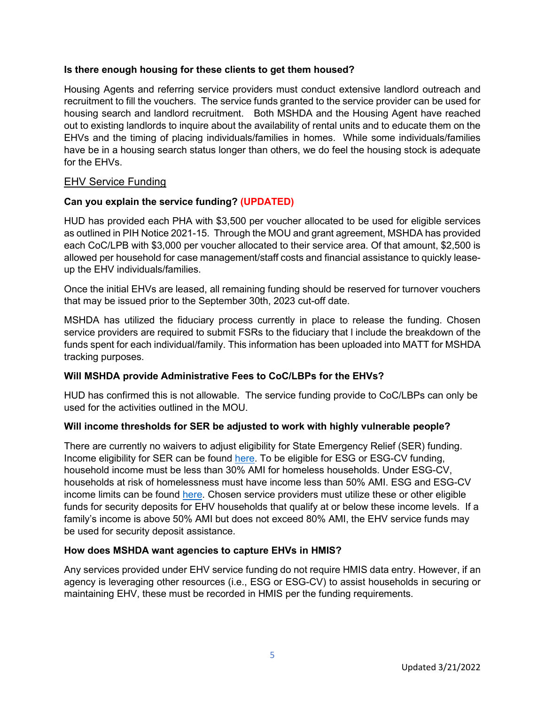## **Is there enough housing for these clients to get them housed?**

Housing Agents and referring service providers must conduct extensive landlord outreach and recruitment to fill the vouchers. The service funds granted to the service provider can be used for housing search and landlord recruitment. Both MSHDA and the Housing Agent have reached out to existing landlords to inquire about the availability of rental units and to educate them on the EHVs and the timing of placing individuals/families in homes. While some individuals/families have be in a housing search status longer than others, we do feel the housing stock is adequate for the EHVs.

# EHV Service Funding

# **Can you explain the service funding? (UPDATED)**

HUD has provided each PHA with \$3,500 per voucher allocated to be used for eligible services as outlined in PIH Notice 2021-15. Through the MOU and grant agreement, MSHDA has provided each CoC/LPB with \$3,000 per voucher allocated to their service area. Of that amount, \$2,500 is allowed per household for case management/staff costs and financial assistance to quickly leaseup the EHV individuals/families.

Once the initial EHVs are leased, all remaining funding should be reserved for turnover vouchers that may be issued prior to the September 30th, 2023 cut-off date.

MSHDA has utilized the fiduciary process currently in place to release the funding. Chosen service providers are required to submit FSRs to the fiduciary that l include the breakdown of the funds spent for each individual/family. This information has been uploaded into MATT for MSHDA tracking purposes.

## **Will MSHDA provide Administrative Fees to CoC/LBPs for the EHVs?**

HUD has confirmed this is not allowable. The service funding provide to CoC/LBPs can only be used for the activities outlined in the MOU.

## **Will income thresholds for SER be adjusted to work with highly vulnerable people?**

There are currently no waivers to adjust eligibility for State Emergency Relief (SER) funding. Income eligibility for SER can be found [here.](https://www.michigan.gov/mdhhs/0,5885,7-339-71547_5531_7872---,00.html) To be eligible for ESG or ESG-CV funding, household income must be less than 30% AMI for homeless households. Under ESG-CV, households at risk of homelessness must have income less than 50% AMI. ESG and ESG-CV income limits can be found [here.](https://www.michigan.gov/mshda/0,4641,7-141-5515-540628--,00.html) Chosen service providers must utilize these or other eligible funds for security deposits for EHV households that qualify at or below these income levels. If a family's income is above 50% AMI but does not exceed 80% AMI, the EHV service funds may be used for security deposit assistance.

## **How does MSHDA want agencies to capture EHVs in HMIS?**

Any services provided under EHV service funding do not require HMIS data entry. However, if an agency is leveraging other resources (i.e., ESG or ESG-CV) to assist households in securing or maintaining EHV, these must be recorded in HMIS per the funding requirements.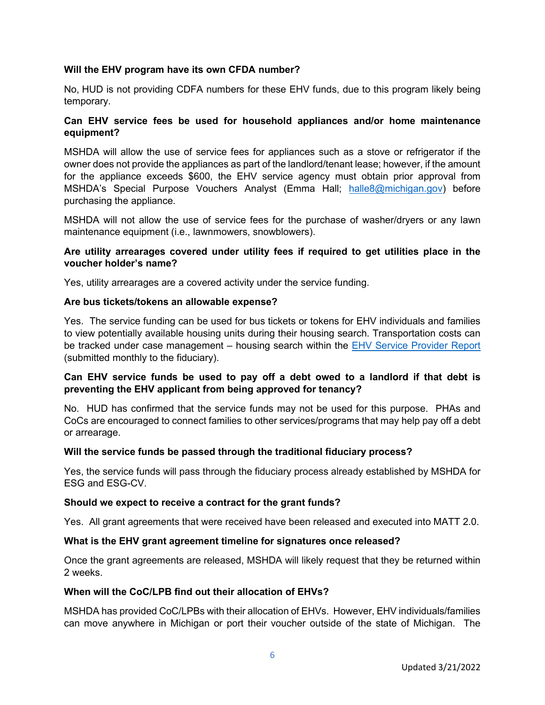## **Will the EHV program have its own CFDA number?**

No, HUD is not providing CDFA numbers for these EHV funds, due to this program likely being temporary.

## **Can EHV service fees be used for household appliances and/or home maintenance equipment?**

MSHDA will allow the use of service fees for appliances such as a stove or refrigerator if the owner does not provide the appliances as part of the landlord/tenant lease; however, if the amount for the appliance exceeds \$600, the EHV service agency must obtain prior approval from MSHDA's Special Purpose Vouchers Analyst (Emma Hall; [halle8@michigan.gov\)](mailto:halle8@michigan.gov) before purchasing the appliance.

MSHDA will not allow the use of service fees for the purchase of washer/dryers or any lawn maintenance equipment (i.e., lawnmowers, snowblowers).

## **Are utility arrearages covered under utility fees if required to get utilities place in the voucher holder's name?**

Yes, utility arrearages are a covered activity under the service funding.

#### **Are bus tickets/tokens an allowable expense?**

Yes. The service funding can be used for bus tickets or tokens for EHV individuals and families to view potentially available housing units during their housing search. Transportation costs can be tracked under case management – housing search within the [EHV Service Provider Report](https://www.michigan.gov/mshda/0,4641,7-141-5515_22479_107554-562521--,00.html) (submitted monthly to the fiduciary).

## **Can EHV service funds be used to pay off a debt owed to a landlord if that debt is preventing the EHV applicant from being approved for tenancy?**

No. HUD has confirmed that the service funds may not be used for this purpose. PHAs and CoCs are encouraged to connect families to other services/programs that may help pay off a debt or arrearage.

#### **Will the service funds be passed through the traditional fiduciary process?**

Yes, the service funds will pass through the fiduciary process already established by MSHDA for ESG and ESG-CV.

#### **Should we expect to receive a contract for the grant funds?**

Yes. All grant agreements that were received have been released and executed into MATT 2.0.

#### **What is the EHV grant agreement timeline for signatures once released?**

Once the grant agreements are released, MSHDA will likely request that they be returned within 2 weeks.

#### **When will the CoC/LPB find out their allocation of EHVs?**

MSHDA has provided CoC/LPBs with their allocation of EHVs. However, EHV individuals/families can move anywhere in Michigan or port their voucher outside of the state of Michigan. The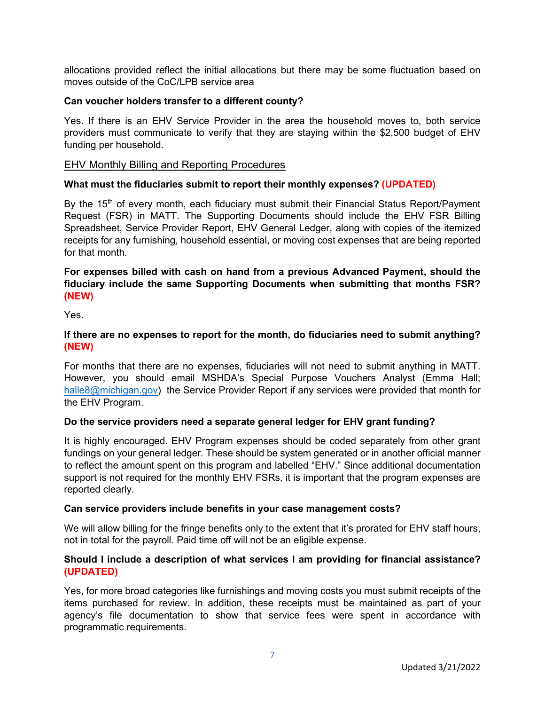allocations provided reflect the initial allocations but there may be some fluctuation based on moves outside of the CoC/LPB service area

#### **Can voucher holders transfer to a different county?**

Yes. If there is an EHV Service Provider in the area the household moves to, both service providers must communicate to verify that they are staying within the \$2,500 budget of EHV funding per household.

#### EHV Monthly Billing and Reporting Procedures

#### **What must the fiduciaries submit to report their monthly expenses? (UPDATED)**

By the  $15<sup>th</sup>$  of every month, each fiduciary must submit their Financial Status Report/Payment Request (FSR) in MATT. The Supporting Documents should include the EHV FSR Billing Spreadsheet, Service Provider Report, EHV General Ledger, along with copies of the itemized receipts for any furnishing, household essential, or moving cost expenses that are being reported for that month.

## **For expenses billed with cash on hand from a previous Advanced Payment, should the fiduciary include the same Supporting Documents when submitting that months FSR? (NEW)**

Yes.

#### **If there are no expenses to report for the month, do fiduciaries need to submit anything? (NEW)**

For months that there are no expenses, fiduciaries will not need to submit anything in MATT. However, you should email MSHDA's Special Purpose Vouchers Analyst (Emma Hall; [halle8@michigan.gov\)](mailto:halle8@michigan.gov) the Service Provider Report if any services were provided that month for the EHV Program.

## **Do the service providers need a separate general ledger for EHV grant funding?**

It is highly encouraged. EHV Program expenses should be coded separately from other grant fundings on your general ledger. These should be system generated or in another official manner to reflect the amount spent on this program and labelled "EHV." Since additional documentation support is not required for the monthly EHV FSRs, it is important that the program expenses are reported clearly.

#### **Can service providers include benefits in your case management costs?**

We will allow billing for the fringe benefits only to the extent that it's prorated for EHV staff hours, not in total for the payroll. Paid time off will not be an eligible expense.

## **Should I include a description of what services I am providing for financial assistance? (UPDATED)**

Yes, for more broad categories like furnishings and moving costs you must submit receipts of the items purchased for review. In addition, these receipts must be maintained as part of your agency's file documentation to show that service fees were spent in accordance with programmatic requirements.